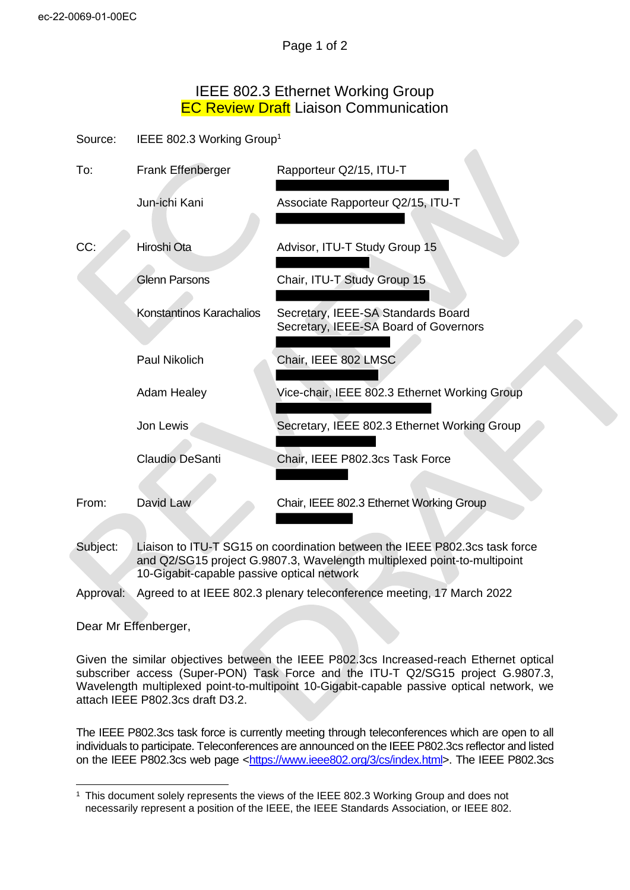## IEEE 802.3 Ethernet Working Group **EC Review Draft Liaison Communication**

Source: IEEE 802.3 Working Group<sup>1</sup>

| To:   | Frank Effenberger        | Rapporteur Q2/15, ITU-T                                                     |
|-------|--------------------------|-----------------------------------------------------------------------------|
|       | Jun-ichi Kani            | Associate Rapporteur Q2/15, ITU-T                                           |
| CC:   | Hiroshi Ota              | Advisor, ITU-T Study Group 15                                               |
|       | <b>Glenn Parsons</b>     | Chair, ITU-T Study Group 15                                                 |
|       | Konstantinos Karachalios | Secretary, IEEE-SA Standards Board<br>Secretary, IEEE-SA Board of Governors |
|       | Paul Nikolich            | Chair, IEEE 802 LMSC                                                        |
|       | <b>Adam Healey</b>       | Vice-chair, IEEE 802.3 Ethernet Working Group                               |
|       | Jon Lewis                | Secretary, IEEE 802.3 Ethernet Working Group                                |
|       | Claudio DeSanti          | Chair, IEEE P802.3cs Task Force                                             |
| From: | David Law                | Chair, IEEE 802.3 Ethernet Working Group                                    |

Subject: Liaison to ITU-T SG15 on coordination between the IEEE P802.3cs task force and Q2/SG15 project G.9807.3, Wavelength multiplexed point-to-multipoint 10-Gigabit-capable passive optical network

Approval: Agreed to at IEEE 802.3 plenary teleconference meeting, 17 March 2022

Dear Mr Effenberger,

Given the similar objectives between the IEEE P802.3cs Increased-reach Ethernet optical subscriber access (Super-PON) Task Force and the ITU-T Q2/SG15 project G.9807.3, Wavelength multiplexed point-to-multipoint 10-Gigabit-capable passive optical network, we attach IEEE P802.3cs draft D3.2.

The IEEE P802.3cs task force is currently meeting through teleconferences which are open to all individuals to participate. Teleconferences are announced on the IEEE P802.3cs reflector and listed on the IEEE P802.3cs web page [<https://www.ieee802.org/3/cs/index.html>](https://www.ieee802.org/3/cs/index.html). The IEEE P802.3cs

<sup>1</sup> This document solely represents the views of the IEEE 802.3 Working Group and does not necessarily represent a position of the IEEE, the IEEE Standards Association, or IEEE 802.